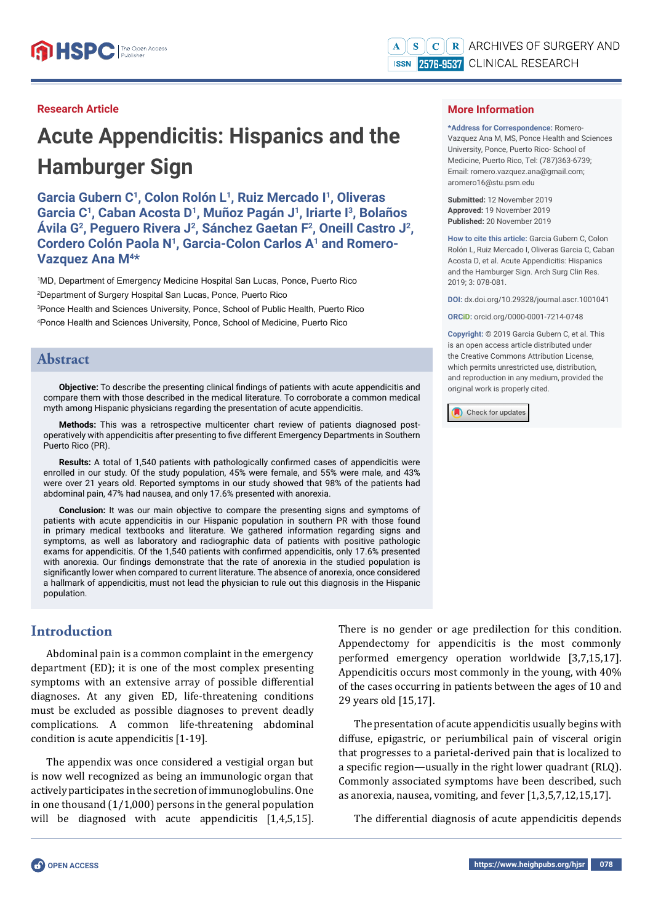**\*Address for Correspondence:** Romero-Vazquez Ana M, MS, Ponce Health and Sciences University, Ponce, Puerto Rico- School of Medicine, Puerto Rico, Tel: (787)363-6739; Email: romero.vazquez.ana@gmail.com;

**How to cite this article:** Garcia Gubern C, Colon Rolón L, Ruiz Mercado I, Oliveras Garcia C, Caban Acosta D, et al. Acute Appendicitis: Hispanics and the Hamburger Sign. Arch Surg Clin Res.

**DOI:** dx.doi.org/10.29328/journal.ascr.1001041

**ORCiD:** orcid.org/0000-0001-7214-0748 **Copyright: ©** 2019 Garcia Gubern C, et al. This is an open access article distributed under the Creative Commons Attribution License, which permits unrestricted use, distribution, and reproduction in any medium, provided the

**More Information** 

aromero16@stu.psm.edu **Submitted:** 12 November 2019 **Approved:** 19 November 2019 **Published:** 20 November 2019

2019; 3: 078-081.

#### **Research Article**

# **Acute Appendicitis: Hispanics and the Hamburger Sign**

**Garcia Gubern C1, Colon Rolón L1, Ruiz Mercado I1, Oliveras Garcia C1, Caban Acosta D1, Muñoz Pagán J1, Iriarte I3, Bolaños Ávila G2, Peguero Rivera J2, Sánchez Gaetan F2, Oneill Castro J2, Cordero Colón Paola N1, Garcia-Colon Carlos A1 and Romero-Vazquez Ana M4\***

 MD, Department of Emergency Medicine Hospital San Lucas, Ponce, Puerto Rico Department of Surgery Hospital San Lucas, Ponce, Puerto Rico Ponce Health and Sciences University, Ponce, School of Public Health, Puerto Rico Ponce Health and Sciences University, Ponce, School of Medicine, Puerto Rico

## **Abstract**

**Objective:** To describe the presenting clinical findings of patients with acute appendicitis and compare them with those described in the medical literature. To corroborate a common medical myth among Hispanic physicians regarding the presentation of acute appendicitis.

**Methods:** This was a retrospective multicenter chart review of patients diagnosed postoperatively with appendicitis after presenting to five different Emergency Departments in Southern Puerto Rico (PR).

**Results:** A total of 1,540 patients with pathologically confirmed cases of appendicitis were enrolled in our study. Of the study population, 45% were female, and 55% were male, and 43% were over 21 years old. Reported symptoms in our study showed that 98% of the patients had abdominal pain, 47% had nausea, and only 17.6% presented with anorexia.

**Conclusion:** It was our main objective to compare the presenting signs and symptoms of patients with acute appendicitis in our Hispanic population in southern PR with those found in primary medical textbooks and literature. We gathered information regarding signs and symptoms, as well as laboratory and radiographic data of patients with positive pathologic exams for appendicitis. Of the 1,540 patients with confirmed appendicitis, only 17.6% presented with anorexia. Our findings demonstrate that the rate of anorexia in the studied population is significantly lower when compared to current literature. The absence of anorexia, once considered a hallmark of appendicitis, must not lead the physician to rule out this diagnosis in the Hispanic population.

# **Introduction**

Abdominal pain is a common complaint in the emergency department (ED); it is one of the most complex presenting symptoms with an extensive array of possible differential diagnoses. At any given ED, life-threatening conditions must be excluded as possible diagnoses to prevent deadly complications. A common life-threatening abdominal condition is acute appendicitis [1-19].

The appendix was once considered a vestigial organ but is now well recognized as being an immunologic organ that actively participates in the secretion of immunoglobulins. One in one thousand (1/1,000) persons in the general population will be diagnosed with acute appendicitis [1,4,5,15]. Check for updates

original work is properly cited.

There is no gender or age predilection for this condition. Appendectomy for appendicitis is the most commonly performed emergency operation worldwide [3,7,15,17]. Appendicitis occurs most commonly in the young, with 40% of the cases occurring in patients between the ages of 10 and 29 years old [15,17].

The presentation of acute appendicitis usually begins with diffuse, epigastric, or periumbilical pain of visceral origin that progresses to a parietal-derived pain that is localized to a specific region—usually in the right lower quadrant (RLQ). Commonly associated symptoms have been described, such as anorexia, nausea, vomiting, and fever [1,3,5,7,12,15,17].

The differential diagnosis of acute appendicitis depends

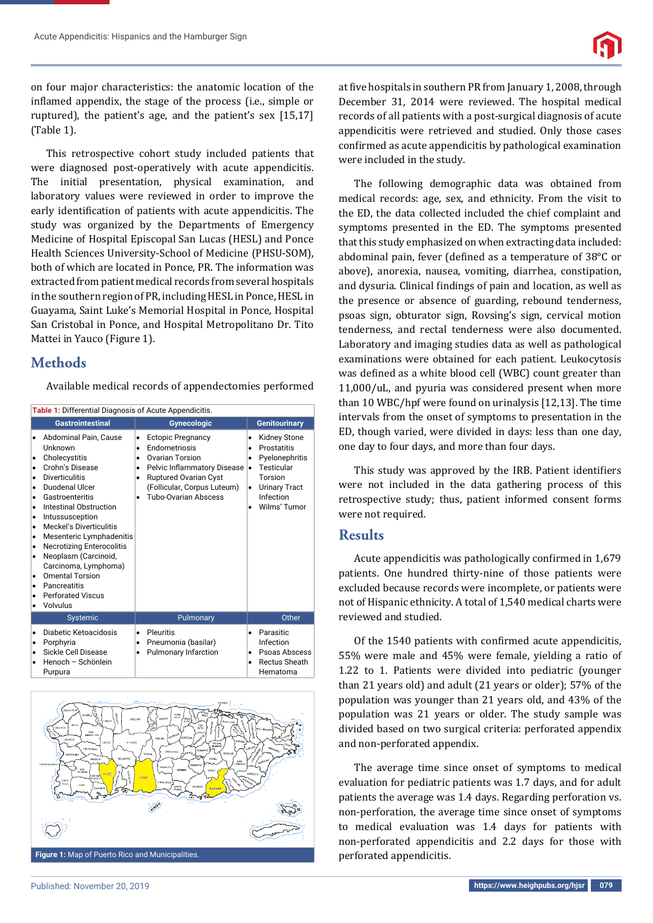on four major characteristics: the anatomic location of the inflamed appendix, the stage of the process (i.e., simple or ruptured), the patient's age, and the patient's sex [15,17] (Table 1).

This retrospective cohort study included patients that were diagnosed post-operatively with acute appendicitis. The initial presentation, physical examination, and laboratory values were reviewed in order to improve the early identification of patients with acute appendicitis. The study was organized by the Departments of Emergency Medicine of Hospital Episcopal San Lucas (HESL) and Ponce Health Sciences University-School of Medicine (PHSU-SOM), both of which are located in Ponce, PR. The information was extracted from patient medical records from several hospitals in the southern region of PR, including HESL in Ponce, HESL in Guayama, Saint Luke's Memorial Hospital in Ponce, Hospital San Cristobal in Ponce, and Hospital Metropolitano Dr. Tito Mattei in Yauco (Figure 1).

# **Methods**

Available medical records of appendectomies performed

| Table 1: Differential Diagnosis of Acute Appendicitis.                                                                                                                                                                                                                                                                                                                                                                                                                                                                  |                                                                                                                                                                                                                                                 |                                                                                                                                                                                             |  |  |
|-------------------------------------------------------------------------------------------------------------------------------------------------------------------------------------------------------------------------------------------------------------------------------------------------------------------------------------------------------------------------------------------------------------------------------------------------------------------------------------------------------------------------|-------------------------------------------------------------------------------------------------------------------------------------------------------------------------------------------------------------------------------------------------|---------------------------------------------------------------------------------------------------------------------------------------------------------------------------------------------|--|--|
| <b>Gastrointestinal</b>                                                                                                                                                                                                                                                                                                                                                                                                                                                                                                 | <b>Gynecologic</b>                                                                                                                                                                                                                              | <b>Genitourinary</b>                                                                                                                                                                        |  |  |
| Abdominal Pain, Cause<br>Unknown<br>Cholecystitis<br>٠<br>Crohn's Disease<br>$\bullet$<br><b>Diverticulitis</b><br>٠<br>Duodenal Ulcer<br>$\bullet$<br>Gastroenteritis<br>٠<br>Intestinal Obstruction<br>$\bullet$<br>Intussusception<br>٠<br><b>Meckel's Diverticulitis</b><br>$\bullet$<br>Mesenteric Lymphadenitis<br>٠<br><b>Necrotizing Enterocolitis</b><br>٠<br>Neoplasm (Carcinoid,<br>٠<br>Carcinoma, Lymphoma)<br><b>Omental Torsion</b><br>Pancreatitis<br><b>Perforated Viscus</b><br>$\bullet$<br>Volvulus | <b>Ectopic Pregnancy</b><br>٠<br>Endometriosis<br>$\bullet$<br>Ovarian Torsion<br>٠<br>Pelvic Inflammatory Disease<br>$\bullet$<br><b>Ruptured Ovarian Cyst</b><br>٠<br>(Follicular, Corpus Luteum)<br><b>Tubo-Ovarian Abscess</b><br>$\bullet$ | <b>Kidney Stone</b><br>٠<br>Prostatitis<br>$\bullet$<br>Pyelonephritis<br>$\bullet$<br>Testicular<br>$\bullet$<br>Torsion<br><b>Urinary Tract</b><br>$\bullet$<br>Infection<br>Wilms' Tumor |  |  |
| Systemic                                                                                                                                                                                                                                                                                                                                                                                                                                                                                                                | Pulmonary                                                                                                                                                                                                                                       | Other                                                                                                                                                                                       |  |  |
| Diabetic Ketoacidosis<br>Porphyria<br>٠<br>Sickle Cell Disease<br>Henoch - Schönlein<br>Purpura                                                                                                                                                                                                                                                                                                                                                                                                                         | Pleuritis<br>٠<br>Pneumonia (basilar)<br>$\bullet$<br>Pulmonary Infarction<br>٠                                                                                                                                                                 | Parasitic<br>$\bullet$<br>Infection<br>Psoas Abscess<br>٠<br><b>Rectus Sheath</b><br>$\bullet$<br>Hematoma                                                                                  |  |  |



at five hospitals in southern PR from January 1, 2008, through December 31, 2014 were reviewed. The hospital medical records of all patients with a post-surgical diagnosis of acute appendicitis were retrieved and studied. Only those cases confirmed as acute appendicitis by pathological examination were included in the study.

The following demographic data was obtained from medical records: age, sex, and ethnicity. From the visit to the ED, the data collected included the chief complaint and symptoms presented in the ED. The symptoms presented that this study emphasized on when extracting data included: abdominal pain, fever (defined as a temperature of  $38^{\circ}$ C or above), anorexia, nausea, vomiting, diarrhea, constipation, and dysuria. Clinical findings of pain and location, as well as the presence or absence of guarding, rebound tenderness, psoas sign, obturator sign, Rovsing's sign, cervical motion tenderness, and rectal tenderness were also documented. Laboratory and imaging studies data as well as pathological examinations were obtained for each patient. Leukocytosis was defined as a white blood cell (WBC) count greater than 11,000/uL, and pyuria was considered present when more than 10 WBC/hpf were found on urinalysis [12,13]. The time intervals from the onset of symptoms to presentation in the ED, though varied, were divided in days: less than one day, one day to four days, and more than four days.

This study was approved by the IRB. Patient identifiers were not included in the data gathering process of this retrospective study; thus, patient informed consent forms were not required.

## **Results**

Acute appendicitis was pathologically confirmed in 1,679 patients. One hundred thirty-nine of those patients were excluded because records were incomplete, or patients were not of Hispanic ethnicity. A total of 1,540 medical charts were reviewed and studied.

Of the 1540 patients with confirmed acute appendicitis, 55% were male and 45% were female, yielding a ratio of 1.22 to 1. Patients were divided into pediatric (younger than 21 years old) and adult (21 years or older); 57% of the population was younger than 21 years old, and 43% of the population was 21 years or older. The study sample was divided based on two surgical criteria: perforated appendix and non-perforated appendix.

The average time since onset of symptoms to medical evaluation for pediatric patients was 1.7 days, and for adult patients the average was 1.4 days. Regarding perforation vs. non-perforation, the average time since onset of symptoms to medical evaluation was 1.4 days for patients with non-perforated appendicitis and 2.2 days for those with perforated appendicitis.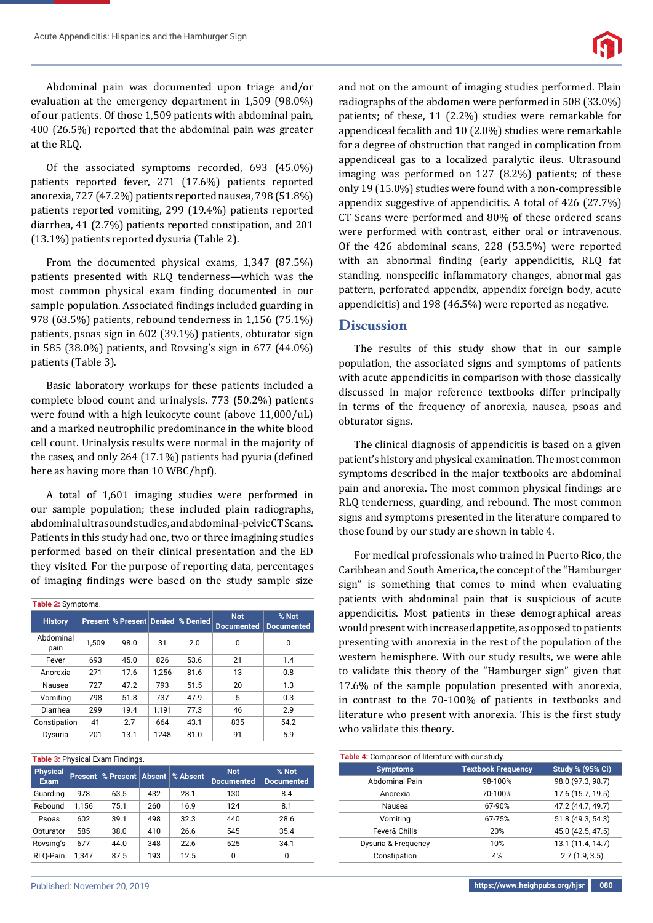Abdominal pain was documented upon triage and/or evaluation at the emergency department in 1,509 (98.0%) of our patients. Of those 1,509 patients with abdominal pain, 400 (26.5%) reported that the abdominal pain was greater at the RLQ.

Of the associated symptoms recorded, 693 (45.0%) patients reported fever, 271 (17.6%) patients reported anorexia, 727 (47.2%) patients reported nausea, 798 (51.8%) patients reported vomiting, 299 (19.4%) patients reported diarrhea, 41 (2.7%) patients reported constipation, and 201 (13.1%) patients reported dysuria (Table 2).

From the documented physical exams, 1,347 (87.5%) patients presented with RLQ tenderness—which was the most common physical exam finding documented in our sample population. Associated findings included guarding in 978 (63.5%) patients, rebound tenderness in 1,156 (75.1%) patients, psoas sign in 602 (39.1%) patients, obturator sign in 585 (38.0%) patients, and Rovsing's sign in 677 (44.0%) patients (Table 3).

Basic laboratory workups for these patients included a complete blood count and urinalysis. 773 (50.2%) patients were found with a high leukocyte count (above 11,000/uL) and a marked neutrophilic predominance in the white blood cell count. Urinalysis results were normal in the majority of the cases, and only 264  $(17.1\%)$  patients had pyuria (defined here as having more than 10 WBC/hpf).

A total of 1,601 imaging studies were performed in our sample population; these included plain radiographs, abdominal ultrasound studies, and abdominal-pelvic CT Scans. Patients in this study had one, two or three imagining studies performed based on their clinical presentation and the ED they visited. For the purpose of reporting data, percentages of imaging findings were based on the study sample size

| Table 2: Symptoms. |       |                                              |       |      |                                 |                            |
|--------------------|-------|----------------------------------------------|-------|------|---------------------------------|----------------------------|
| <b>History</b>     |       | <b>Present % Present Denied   % Denied  </b> |       |      | <b>Not</b><br><b>Documented</b> | % Not<br><b>Documented</b> |
| Abdominal<br>pain  | 1.509 | 98.0                                         | 31    | 2.0  | 0                               | 0                          |
| Fever              | 693   | 45.0                                         | 826   | 53.6 | 21                              | 1.4                        |
| Anorexia           | 271   | 17.6                                         | 1.256 | 81.6 | 13                              | 0.8                        |
| Nausea             | 727   | 47.2                                         | 793   | 51.5 | 20                              | 1.3                        |
| Vomiting           | 798   | 51.8                                         | 737   | 47.9 | 5                               | 0.3                        |
| Diarrhea           | 299   | 19.4                                         | 1.191 | 77.3 | 46                              | 2.9                        |
| Constipation       | 41    | 2.7                                          | 664   | 43.1 | 835                             | 54.2                       |
| Dysuria            | 201   | 13.1                                         | 1248  | 81.0 | 91                              | 5.9                        |

| <b>Table 3: Physical Exam Findings.</b> |                |                    |     |          |                                 |                            |
|-----------------------------------------|----------------|--------------------|-----|----------|---------------------------------|----------------------------|
| <b>Physical</b><br><b>Exam</b>          | <b>Present</b> | % Present   Absent |     | % Absent | <b>Not</b><br><b>Documented</b> | % Not<br><b>Documented</b> |
| Guarding                                | 978            | 63.5               | 432 | 28.1     | 130                             | 8.4                        |
| Rebound                                 | 1.156          | 75.1               | 260 | 16.9     | 124                             | 8.1                        |
| Psoas                                   | 602            | 39.1               | 498 | 32.3     | 440                             | 28.6                       |
| Obturator                               | 585            | 38.0               | 410 | 26.6     | 545                             | 35.4                       |
| Rovsing's                               | 677            | 44.0               | 348 | 22.6     | 525                             | 34.1                       |
| RLO-Pain                                | 1.347          | 87.5               | 193 | 12.5     | 0                               | 0                          |

and not on the amount of imaging studies performed. Plain radiographs of the abdomen were performed in 508 (33.0%) patients; of these, 11 (2.2%) studies were remarkable for appendiceal fecalith and 10 (2.0%) studies were remarkable for a degree of obstruction that ranged in complication from appendiceal gas to a localized paralytic ileus. Ultrasound imaging was performed on 127 (8.2%) patients; of these only 19 (15.0%) studies were found with a non-compressible appendix suggestive of appendicitis. A total of 426 (27.7%) CT Scans were performed and 80% of these ordered scans were performed with contrast, either oral or intravenous. Of the 426 abdominal scans, 228 (53.5%) were reported with an abnormal finding (early appendicitis, RLQ fat standing, nonspecific inflammatory changes, abnormal gas pattern, perforated appendix, appendix foreign body, acute appendicitis) and 198 (46.5%) were reported as negative.

## **Discussion**

The results of this study show that in our sample population, the associated signs and symptoms of patients with acute appendicitis in comparison with those classically discussed in major reference textbooks differ principally in terms of the frequency of anorexia, nausea, psoas and obturator signs.

The clinical diagnosis of appendicitis is based on a given patient's history and physical examination. The most common symptoms described in the major textbooks are abdominal pain and anorexia. The most common physical findings are RLQ tenderness, guarding, and rebound. The most common signs and symptoms presented in the literature compared to those found by our study are shown in table 4.

For medical professionals who trained in Puerto Rico, the Caribbean and South America, the concept of the "Hamburger sign" is something that comes to mind when evaluating patients with abdominal pain that is suspicious of acute appendicitis. Most patients in these demographical areas would present with increased appetite, as opposed to patients presenting with anorexia in the rest of the population of the western hemisphere. With our study results, we were able to validate this theory of the "Hamburger sign" given that 17.6% of the sample population presented with anorexia, in contrast to the 70-100% of patients in textbooks and literature who present with anorexia. This is the first study who validate this theory.

| Table 4: Comparison of literature with our study. |                           |                         |  |
|---------------------------------------------------|---------------------------|-------------------------|--|
| <b>Symptoms</b>                                   | <b>Textbook Frequency</b> | <b>Study % (95% Ci)</b> |  |
| <b>Abdominal Pain</b>                             | 98-100%                   | 98.0 (97.3, 98.7)       |  |
| Anorexia                                          | 70-100%                   | 17.6 (15.7, 19.5)       |  |
| Nausea                                            | 67-90%                    | 47.2 (44.7, 49.7)       |  |
| Vomiting                                          | 67-75%                    | 51.8 (49.3, 54.3)       |  |
| Fever& Chills                                     | 20%                       | 45.0 (42.5, 47.5)       |  |
| Dysuria & Frequency                               | 10%                       | 13.1 (11.4, 14.7)       |  |
| Constipation                                      | 4%                        | 2.7(1.9, 3.5)           |  |